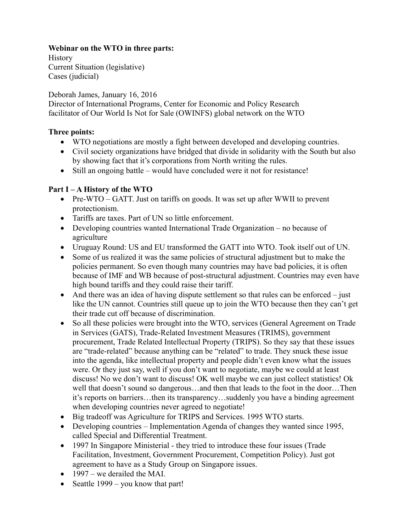## **Webinar on the WTO in three parts:**

History Current Situation (legislative) Cases (judicial)

Deborah James, January 16, 2016

Director of International Programs, Center for Economic and Policy Research facilitator of Our World Is Not for Sale (OWINFS) global network on the WTO

#### **Three points:**

- WTO negotiations are mostly a fight between developed and developing countries.
- Civil society organizations have bridged that divide in solidarity with the South but also by showing fact that it's corporations from North writing the rules.
- Still an ongoing battle would have concluded were it not for resistance!

### **Part I – A History of the WTO**

- Pre-WTO GATT. Just on tariffs on goods. It was set up after WWII to prevent protectionism.
- Tariffs are taxes. Part of UN so little enforcement.
- Developing countries wanted International Trade Organization no because of agriculture
- Uruguay Round: US and EU transformed the GATT into WTO. Took itself out of UN.
- Some of us realized it was the same policies of structural adjustment but to make the policies permanent. So even though many countries may have bad policies, it is often because of IMF and WB because of post-structural adjustment. Countries may even have high bound tariffs and they could raise their tariff.
- $\bullet$  And there was an idea of having dispute settlement so that rules can be enforced just like the UN cannot. Countries still queue up to join the WTO because then they can't get their trade cut off because of discrimination.
- So all these policies were brought into the WTO, services (General Agreement on Trade in Services (GATS), Trade-Related Investment Measures (TRIMS), government procurement, Trade Related Intellectual Property (TRIPS). So they say that these issues are "trade-related" because anything can be "related" to trade. They snuck these issue into the agenda, like intellectual property and people didn't even know what the issues were. Or they just say, well if you don't want to negotiate, maybe we could at least discuss! No we don't want to discuss! OK well maybe we can just collect statistics! Ok well that doesn't sound so dangerous…and then that leads to the foot in the door…Then it's reports on barriers…then its transparency…suddenly you have a binding agreement when developing countries never agreed to negotiate!
- Big tradeoff was Agriculture for TRIPS and Services. 1995 WTO starts.
- Developing countries Implementation Agenda of changes they wanted since 1995, called Special and Differential Treatment.
- 1997 In Singapore Ministerial they tried to introduce these four issues (Trade Facilitation, Investment, Government Procurement, Competition Policy). Just got agreement to have as a Study Group on Singapore issues.
- $\bullet$  1997 we derailed the MAI.
- Seattle  $1999 you know that part!$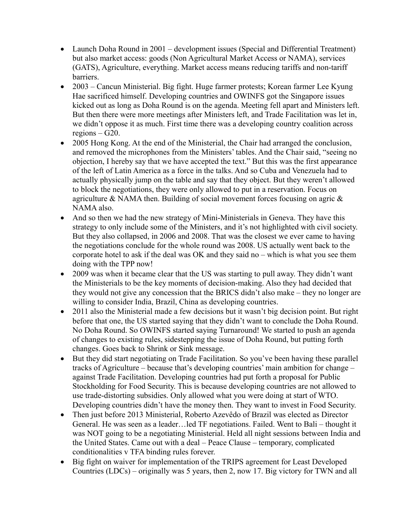- Launch Doha Round in 2001 development issues (Special and Differential Treatment) but also market access: goods (Non Agricultural Market Access or NAMA), services (GATS), Agriculture, everything. Market access means reducing tariffs and non-tariff barriers.
- 2003 Cancun Ministerial. Big fight. Huge farmer protests; Korean farmer Lee Kyung Hae sacrificed himself. Developing countries and OWINFS got the Singapore issues kicked out as long as Doha Round is on the agenda. Meeting fell apart and Ministers left. But then there were more meetings after Ministers left, and Trade Facilitation was let in, we didn't oppose it as much. First time there was a developing country coalition across regions – G20.
- 2005 Hong Kong. At the end of the Ministerial, the Chair had arranged the conclusion, and removed the microphones from the Ministers' tables. And the Chair said, "seeing no objection, I hereby say that we have accepted the text." But this was the first appearance of the left of Latin America as a force in the talks. And so Cuba and Venezuela had to actually physically jump on the table and say that they object. But they weren't allowed to block the negotiations, they were only allowed to put in a reservation. Focus on agriculture & NAMA then. Building of social movement forces focusing on agric  $\&$ NAMA also.
- And so then we had the new strategy of Mini-Ministerials in Geneva. They have this strategy to only include some of the Ministers, and it's not highlighted with civil society. But they also collapsed, in 2006 and 2008. That was the closest we ever came to having the negotiations conclude for the whole round was 2008. US actually went back to the corporate hotel to ask if the deal was OK and they said no – which is what you see them doing with the TPP now!
- 2009 was when it became clear that the US was starting to pull away. They didn't want the Ministerials to be the key moments of decision-making. Also they had decided that they would not give any concession that the BRICS didn't also make – they no longer are willing to consider India, Brazil, China as developing countries.
- 2011 also the Ministerial made a few decisions but it wasn't big decision point. But right before that one, the US started saying that they didn't want to conclude the Doha Round. No Doha Round. So OWINFS started saying Turnaround! We started to push an agenda of changes to existing rules, sidestepping the issue of Doha Round, but putting forth changes. Goes back to Shrink or Sink message.
- But they did start negotiating on Trade Facilitation. So you've been having these parallel tracks of Agriculture – because that's developing countries' main ambition for change – against Trade Facilitation. Developing countries had put forth a proposal for Public Stockholding for Food Security. This is because developing countries are not allowed to use trade-distorting subsidies. Only allowed what you were doing at start of WTO. Developing countries didn't have the money then. They want to invest in Food Security.
- Then just before 2013 Ministerial, Roberto Azevêdo of Brazil was elected as Director General. He was seen as a leader…led TF negotiations. Failed. Went to Bali – thought it was NOT going to be a negotiating Ministerial. Held all night sessions between India and the United States. Came out with a deal – Peace Clause – temporary, complicated conditionalities v TFA binding rules forever.
- Big fight on waiver for implementation of the TRIPS agreement for Least Developed Countries (LDCs) – originally was 5 years, then 2, now 17. Big victory for TWN and all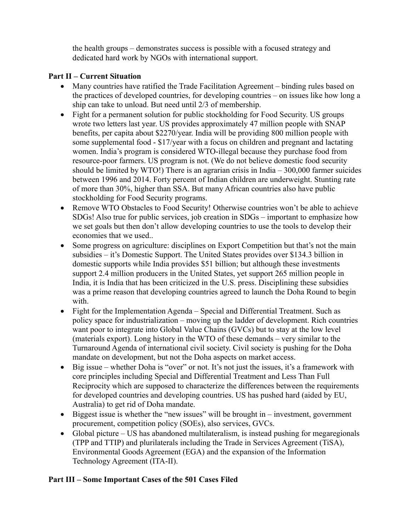the health groups – demonstrates success is possible with a focused strategy and dedicated hard work by NGOs with international support.

## **Part II – Current Situation**

- Many countries have ratified the Trade Facilitation Agreement binding rules based on the practices of developed countries, for developing countries – on issues like how long a ship can take to unload. But need until 2/3 of membership.
- Fight for a permanent solution for public stockholding for Food Security. US groups wrote two letters last year. US provides approximately 47 million people with SNAP benefits, per capita about \$2270/year. India will be providing 800 million people with some supplemental food - \$17/year with a focus on children and pregnant and lactating women. India's program is considered WTO-illegal because they purchase food from resource-poor farmers. US program is not. (We do not believe domestic food security should be limited by WTO!) There is an agrarian crisis in India – 300,000 farmer suicides between 1996 and 2014. Forty percent of Indian children are underweight. Stunting rate of more than 30%, higher than SSA. But many African countries also have public stockholding for Food Security programs.
- Remove WTO Obstacles to Food Security! Otherwise countries won't be able to achieve SDGs! Also true for public services, job creation in SDGs – important to emphasize how we set goals but then don't allow developing countries to use the tools to develop their economies that we used..
- Some progress on agriculture: disciplines on Export Competition but that's not the main subsidies – it's Domestic Support. The United States provides over \$134.3 billion in domestic supports while India provides \$51 billion; but although these investments support 2.4 million producers in the United States, yet support 265 million people in India, it is India that has been criticized in the U.S. press. Disciplining these subsidies was a prime reason that developing countries agreed to launch the Doha Round to begin with.
- Fight for the Implementation Agenda Special and Differential Treatment. Such as policy space for industrialization – moving up the ladder of development. Rich countries want poor to integrate into Global Value Chains (GVCs) but to stay at the low level (materials export). Long history in the WTO of these demands – very similar to the Turnaround Agenda of international civil society. Civil society is pushing for the Doha mandate on development, but not the Doha aspects on market access.
- Big issue whether Doha is "over" or not. It's not just the issues, it's a framework with core principles including Special and Differential Treatment and Less Than Full Reciprocity which are supposed to characterize the differences between the requirements for developed countries and developing countries. US has pushed hard (aided by EU, Australia) to get rid of Doha mandate.
- $\bullet$  Biggest issue is whether the "new issues" will be brought in investment, government procurement, competition policy (SOEs), also services, GVCs.
- Global picture US has abandoned multilateralism, is instead pushing for megaregionals (TPP and TTIP) and plurilaterals including the Trade in Services Agreement (TiSA), Environmental Goods Agreement (EGA) and the expansion of the Information Technology Agreement (ITA-II).

# **Part III – Some Important Cases of the 501 Cases Filed**